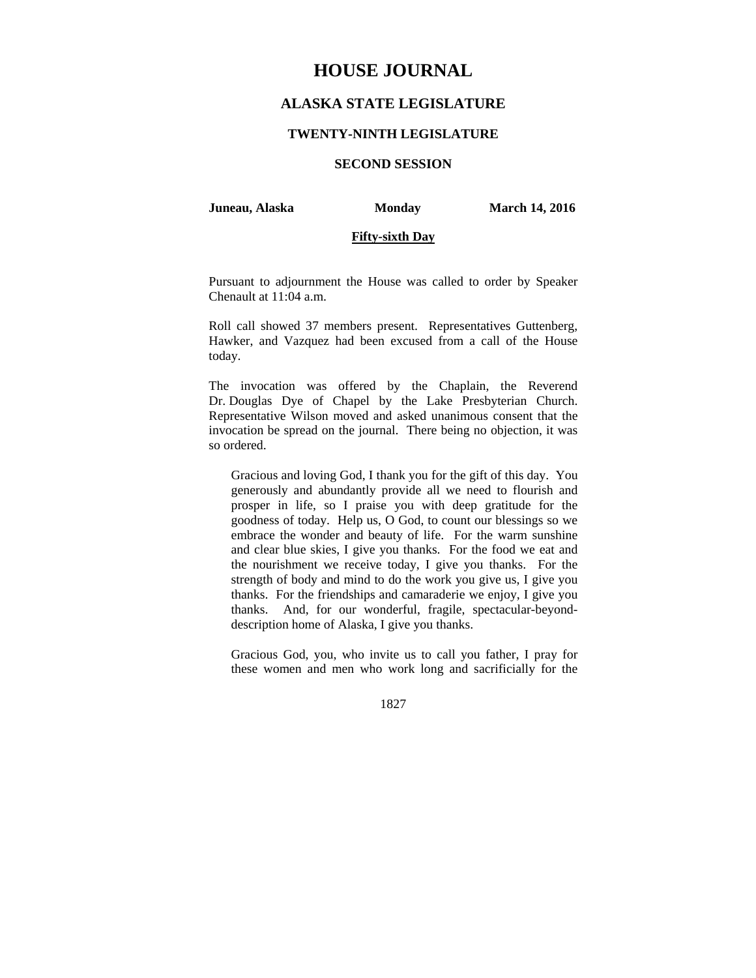# **HOUSE JOURNAL**

## **ALASKA STATE LEGISLATURE**

#### **TWENTY-NINTH LEGISLATURE**

## **SECOND SESSION**

#### **Juneau, Alaska Monday March 14, 2016**

### **Fifty-sixth Day**

Pursuant to adjournment the House was called to order by Speaker Chenault at 11:04 a.m.

Roll call showed 37 members present. Representatives Guttenberg, Hawker, and Vazquez had been excused from a call of the House today.

The invocation was offered by the Chaplain, the Reverend Dr. Douglas Dye of Chapel by the Lake Presbyterian Church. Representative Wilson moved and asked unanimous consent that the invocation be spread on the journal. There being no objection, it was so ordered.

Gracious and loving God, I thank you for the gift of this day. You generously and abundantly provide all we need to flourish and prosper in life, so I praise you with deep gratitude for the goodness of today. Help us, O God, to count our blessings so we embrace the wonder and beauty of life. For the warm sunshine and clear blue skies, I give you thanks. For the food we eat and the nourishment we receive today, I give you thanks. For the strength of body and mind to do the work you give us, I give you thanks. For the friendships and camaraderie we enjoy, I give you thanks. And, for our wonderful, fragile, spectacular-beyonddescription home of Alaska, I give you thanks.

Gracious God, you, who invite us to call you father, I pray for these women and men who work long and sacrificially for the

1827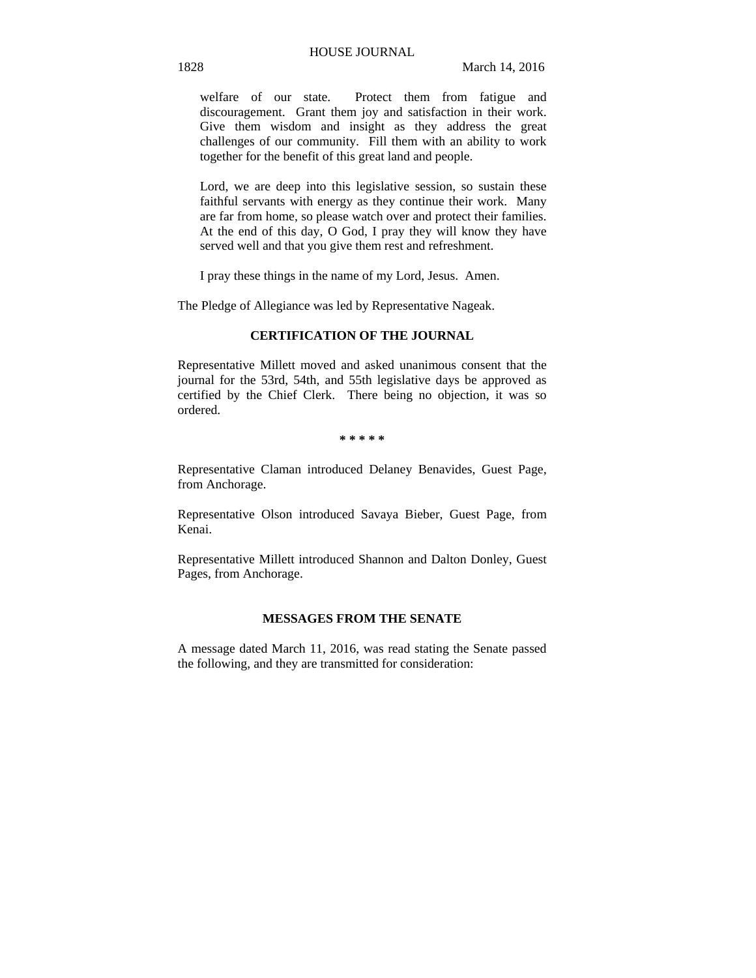welfare of our state. Protect them from fatigue and discouragement. Grant them joy and satisfaction in their work. Give them wisdom and insight as they address the great challenges of our community. Fill them with an ability to work together for the benefit of this great land and people.

Lord, we are deep into this legislative session, so sustain these faithful servants with energy as they continue their work. Many are far from home, so please watch over and protect their families. At the end of this day, O God, I pray they will know they have served well and that you give them rest and refreshment.

I pray these things in the name of my Lord, Jesus. Amen.

The Pledge of Allegiance was led by Representative Nageak.

### **CERTIFICATION OF THE JOURNAL**

Representative Millett moved and asked unanimous consent that the journal for the 53rd, 54th, and 55th legislative days be approved as certified by the Chief Clerk. There being no objection, it was so ordered.

#### **\* \* \* \* \***

Representative Claman introduced Delaney Benavides, Guest Page, from Anchorage.

Representative Olson introduced Savaya Bieber, Guest Page, from Kenai.

Representative Millett introduced Shannon and Dalton Donley, Guest Pages, from Anchorage.

### **MESSAGES FROM THE SENATE**

A message dated March 11, 2016, was read stating the Senate passed the following, and they are transmitted for consideration: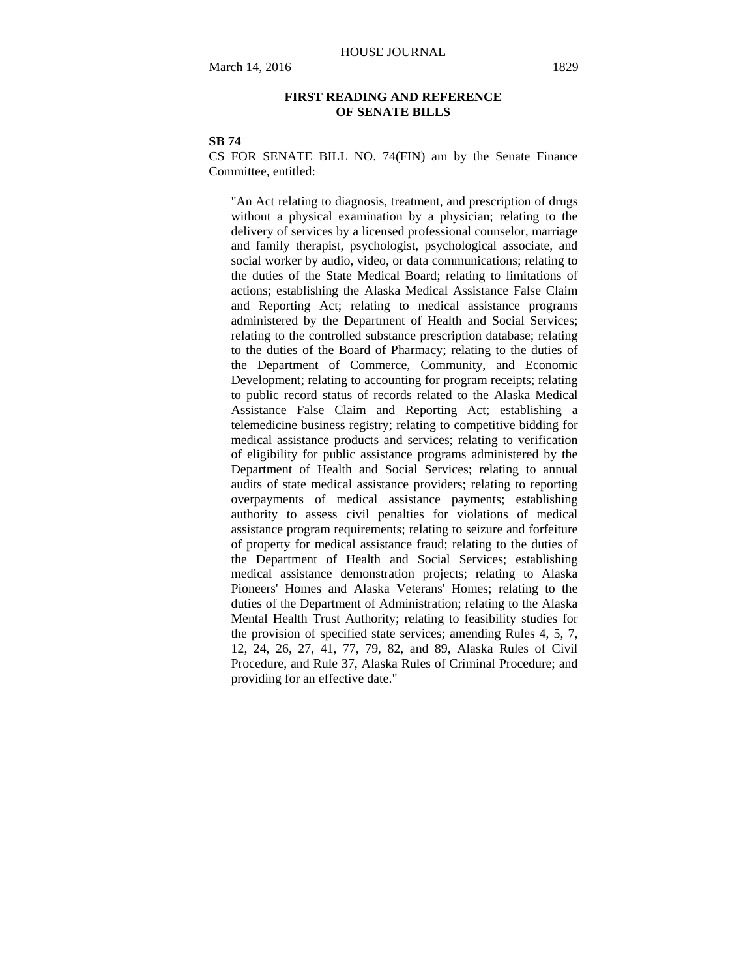### **FIRST READING AND REFERENCE OF SENATE BILLS**

### **SB 74**

CS FOR SENATE BILL NO. 74(FIN) am by the Senate Finance Committee, entitled:

"An Act relating to diagnosis, treatment, and prescription of drugs without a physical examination by a physician; relating to the delivery of services by a licensed professional counselor, marriage and family therapist, psychologist, psychological associate, and social worker by audio, video, or data communications; relating to the duties of the State Medical Board; relating to limitations of actions; establishing the Alaska Medical Assistance False Claim and Reporting Act; relating to medical assistance programs administered by the Department of Health and Social Services; relating to the controlled substance prescription database; relating to the duties of the Board of Pharmacy; relating to the duties of the Department of Commerce, Community, and Economic Development; relating to accounting for program receipts; relating to public record status of records related to the Alaska Medical Assistance False Claim and Reporting Act; establishing a telemedicine business registry; relating to competitive bidding for medical assistance products and services; relating to verification of eligibility for public assistance programs administered by the Department of Health and Social Services; relating to annual audits of state medical assistance providers; relating to reporting overpayments of medical assistance payments; establishing authority to assess civil penalties for violations of medical assistance program requirements; relating to seizure and forfeiture of property for medical assistance fraud; relating to the duties of the Department of Health and Social Services; establishing medical assistance demonstration projects; relating to Alaska Pioneers' Homes and Alaska Veterans' Homes; relating to the duties of the Department of Administration; relating to the Alaska Mental Health Trust Authority; relating to feasibility studies for the provision of specified state services; amending Rules 4, 5, 7, 12, 24, 26, 27, 41, 77, 79, 82, and 89, Alaska Rules of Civil Procedure, and Rule 37, Alaska Rules of Criminal Procedure; and providing for an effective date."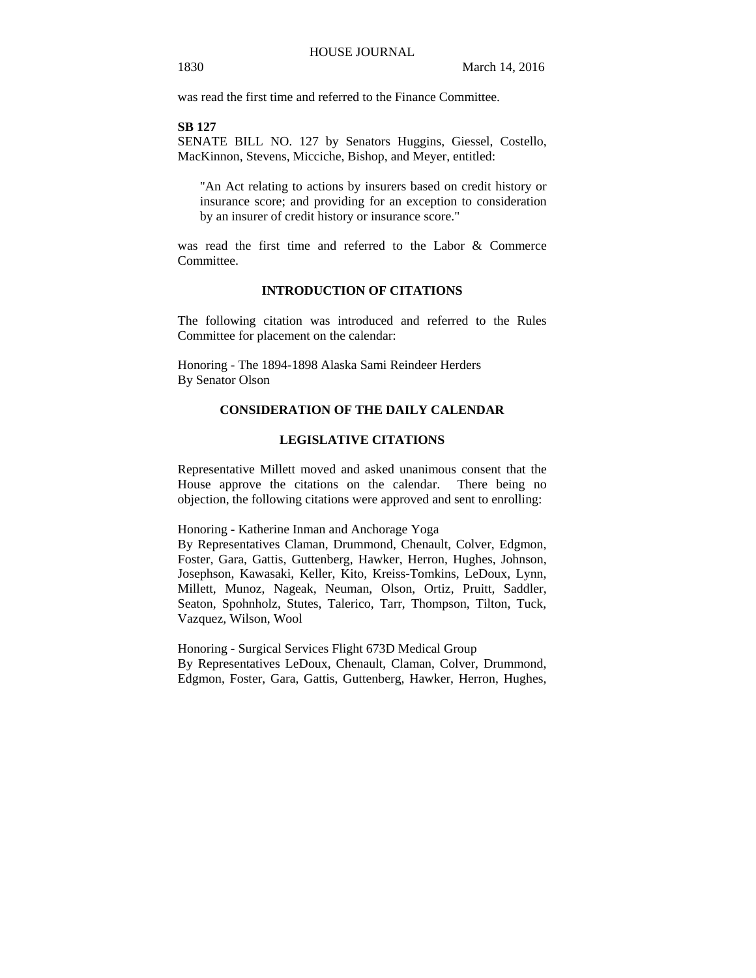was read the first time and referred to the Finance Committee.

#### **SB 127**

SENATE BILL NO. 127 by Senators Huggins, Giessel, Costello, MacKinnon, Stevens, Micciche, Bishop, and Meyer, entitled:

"An Act relating to actions by insurers based on credit history or insurance score; and providing for an exception to consideration by an insurer of credit history or insurance score."

was read the first time and referred to the Labor & Commerce **Committee** 

#### **INTRODUCTION OF CITATIONS**

The following citation was introduced and referred to the Rules Committee for placement on the calendar:

Honoring - The 1894-1898 Alaska Sami Reindeer Herders By Senator Olson

## **CONSIDERATION OF THE DAILY CALENDAR**

#### **LEGISLATIVE CITATIONS**

Representative Millett moved and asked unanimous consent that the House approve the citations on the calendar. There being no objection, the following citations were approved and sent to enrolling:

Honoring - Katherine Inman and Anchorage Yoga

By Representatives Claman, Drummond, Chenault, Colver, Edgmon, Foster, Gara, Gattis, Guttenberg, Hawker, Herron, Hughes, Johnson, Josephson, Kawasaki, Keller, Kito, Kreiss-Tomkins, LeDoux, Lynn, Millett, Munoz, Nageak, Neuman, Olson, Ortiz, Pruitt, Saddler, Seaton, Spohnholz, Stutes, Talerico, Tarr, Thompson, Tilton, Tuck, Vazquez, Wilson, Wool

Honoring - Surgical Services Flight 673D Medical Group By Representatives LeDoux, Chenault, Claman, Colver, Drummond, Edgmon, Foster, Gara, Gattis, Guttenberg, Hawker, Herron, Hughes,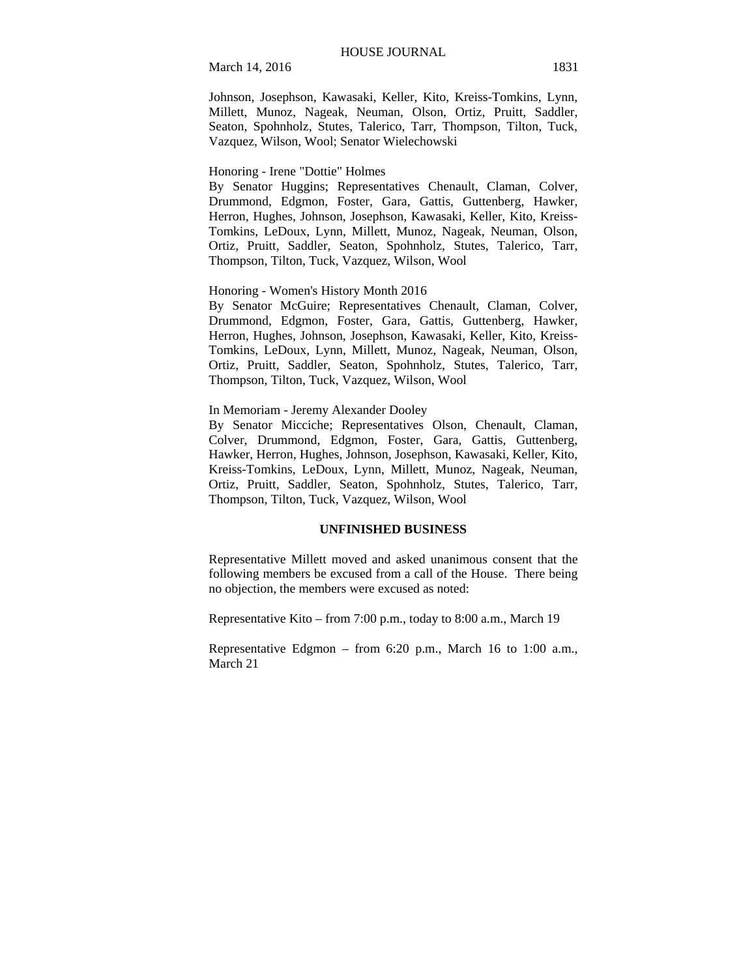March 14, 2016 1831

Johnson, Josephson, Kawasaki, Keller, Kito, Kreiss-Tomkins, Lynn, Millett, Munoz, Nageak, Neuman, Olson, Ortiz, Pruitt, Saddler, Seaton, Spohnholz, Stutes, Talerico, Tarr, Thompson, Tilton, Tuck, Vazquez, Wilson, Wool; Senator Wielechowski

#### Honoring - Irene "Dottie" Holmes

By Senator Huggins; Representatives Chenault, Claman, Colver, Drummond, Edgmon, Foster, Gara, Gattis, Guttenberg, Hawker, Herron, Hughes, Johnson, Josephson, Kawasaki, Keller, Kito, Kreiss-Tomkins, LeDoux, Lynn, Millett, Munoz, Nageak, Neuman, Olson, Ortiz, Pruitt, Saddler, Seaton, Spohnholz, Stutes, Talerico, Tarr, Thompson, Tilton, Tuck, Vazquez, Wilson, Wool

#### Honoring - Women's History Month 2016

By Senator McGuire; Representatives Chenault, Claman, Colver, Drummond, Edgmon, Foster, Gara, Gattis, Guttenberg, Hawker, Herron, Hughes, Johnson, Josephson, Kawasaki, Keller, Kito, Kreiss-Tomkins, LeDoux, Lynn, Millett, Munoz, Nageak, Neuman, Olson, Ortiz, Pruitt, Saddler, Seaton, Spohnholz, Stutes, Talerico, Tarr, Thompson, Tilton, Tuck, Vazquez, Wilson, Wool

#### In Memoriam - Jeremy Alexander Dooley

By Senator Micciche; Representatives Olson, Chenault, Claman, Colver, Drummond, Edgmon, Foster, Gara, Gattis, Guttenberg, Hawker, Herron, Hughes, Johnson, Josephson, Kawasaki, Keller, Kito, Kreiss-Tomkins, LeDoux, Lynn, Millett, Munoz, Nageak, Neuman, Ortiz, Pruitt, Saddler, Seaton, Spohnholz, Stutes, Talerico, Tarr, Thompson, Tilton, Tuck, Vazquez, Wilson, Wool

### **UNFINISHED BUSINESS**

Representative Millett moved and asked unanimous consent that the following members be excused from a call of the House. There being no objection, the members were excused as noted:

Representative Kito – from 7:00 p.m., today to 8:00 a.m., March 19

Representative Edgmon – from 6:20 p.m., March 16 to 1:00 a.m., March 21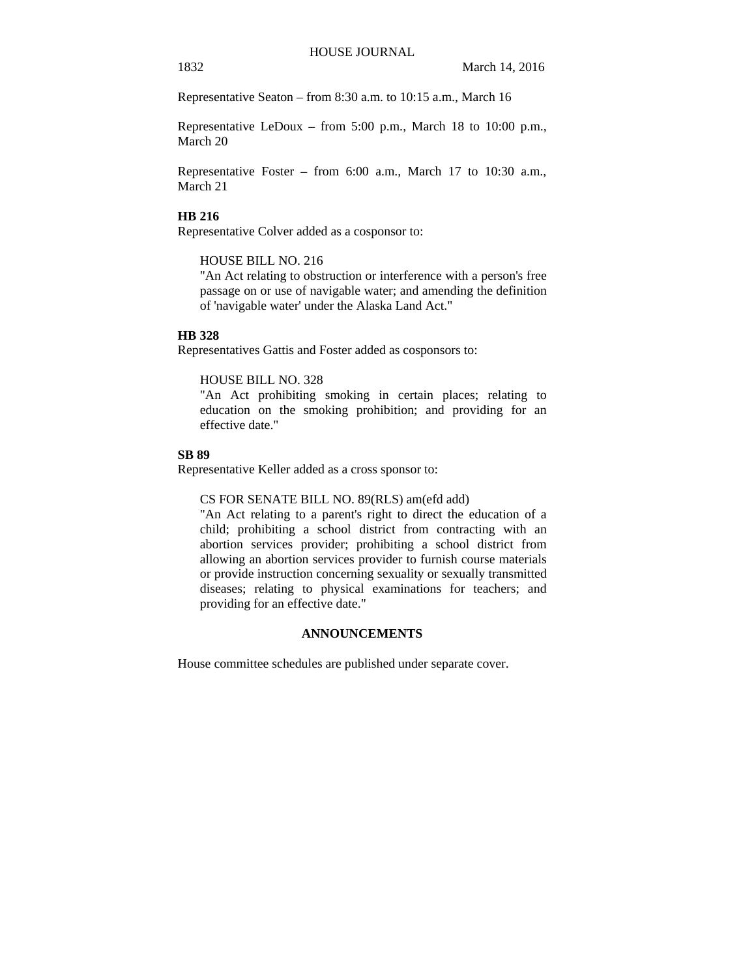Representative Seaton – from 8:30 a.m. to 10:15 a.m., March 16

Representative LeDoux – from 5:00 p.m., March 18 to 10:00 p.m., March 20

Representative Foster – from 6:00 a.m., March 17 to 10:30 a.m., March 21

#### **HB 216**

Representative Colver added as a cosponsor to:

#### HOUSE BILL NO. 216

"An Act relating to obstruction or interference with a person's free passage on or use of navigable water; and amending the definition of 'navigable water' under the Alaska Land Act."

#### **HB 328**

Representatives Gattis and Foster added as cosponsors to:

## HOUSE BILL NO. 328

"An Act prohibiting smoking in certain places; relating to education on the smoking prohibition; and providing for an effective date."

### **SB 89**

Representative Keller added as a cross sponsor to:

CS FOR SENATE BILL NO. 89(RLS) am(efd add)

"An Act relating to a parent's right to direct the education of a child; prohibiting a school district from contracting with an abortion services provider; prohibiting a school district from allowing an abortion services provider to furnish course materials or provide instruction concerning sexuality or sexually transmitted diseases; relating to physical examinations for teachers; and providing for an effective date."

### **ANNOUNCEMENTS**

House committee schedules are published under separate cover.